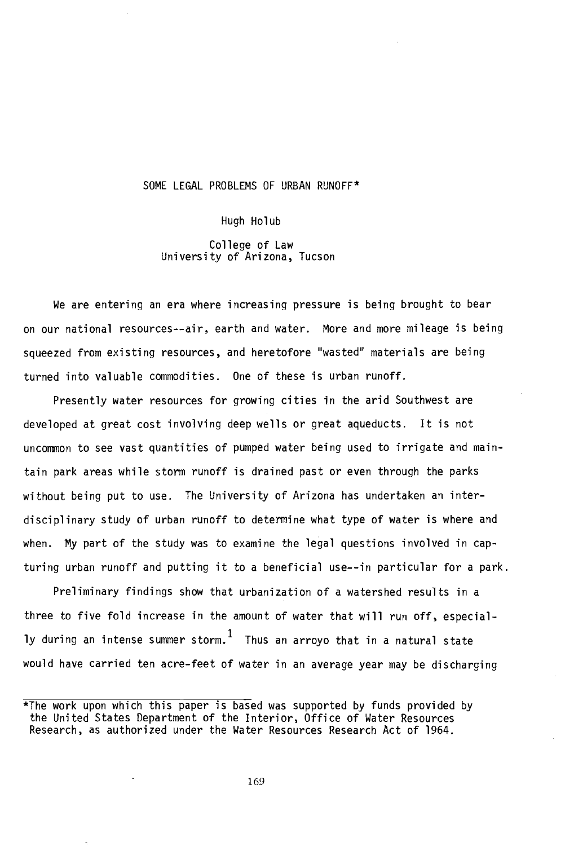## SOME LEGAL PROBLEMS OF URBAN RUNOFF\*

Hugh Holub

College of Law University of Arizona, Tucson

We are entering an era where increasing pressure is being brought to bear on our national resources --air, earth and water. More and more mileage is being squeezed from existing resources, and heretofore "wasted" materials are being turned into valuable commodities. One of these is urban runoff.

Presently water resources for growing cities in the arid Southwest are developed at great cost involving deep wells or great aqueducts. It is not uncommon to see vast quantities of pumped water being used to irrigate and maintain park areas while storm runoff is drained past or even through the parks without being put to use. The University of Arizona has undertaken an interdisciplinary study of urban runoff to determine what type of water is where and when. My part of the study was to examine the legal questions involved in capturing urban runoff and putting it to a beneficial use--in particular for a park.

Preliminary findings show that urbanization of a watershed results in a three to five fold increase in the amount of water that will run off, especially during an intense summer storm.  $<sup>1</sup>$  Thus an arroyo that in a natural state</sup> would have carried ten acre-feet of water in an average year may be discharging

<sup>\*</sup>The work upon which this paper is based was supported by funds provided by the United States Department of the Interior, Office of Water Resources Research, as authorized under the Water Resources Research Act of 1964.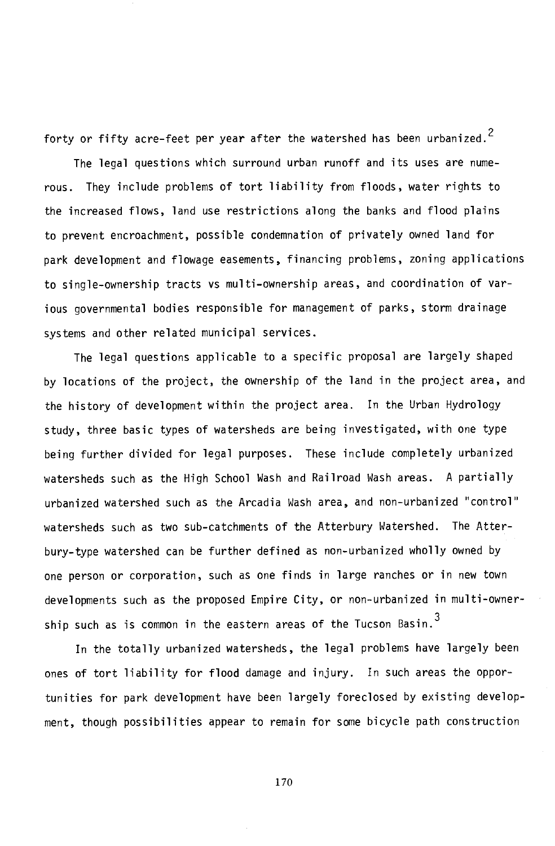forty or fifty acre-feet per year after the watershed has been urbanized.<sup>2</sup>

The legal questions which surround urban runoff and its uses are numerous. They include problems of tort liability from floods, water rights to the increased flows, land use restrictions along the banks and flood plains to prevent encroachment, possible condemnation of privately owned land for park development and flowage easements, financing problems, zoning applications to single- ownership tracts vs multi- ownership areas, and coordination of various governmental bodies responsible for management of parks, storm drainage systems and other related municipal services.

The legal questions applicable to a specific proposal are largely shaped by locations of the project, the ownership of the land in the project area, and the history of development within the project area. In the Urban Hydrology study, three basic types of watersheds are being investigated, with one type being further divided for legal purposes. These include completely urbanized watersheds such as the High School Wash and Railroad Wash areas. A partially urbanized watershed such as the Arcadia Wash area, and non -urbanized "control" watersheds such as two sub-catchments of the Atterbury Watershed. The Atterbury-type watershed can be further defined as non-urbanized wholly owned by one person or corporation, such as one finds in large ranches or in new town developments such as the proposed Empire City, or non-urbanized in multi-ownership such as is common in the eastern areas of the Tucson Basin. $^3$ 

In the totally urbanized watersheds, the legal problems have largely been ones of tort liability for flood damage and injury. In such areas the opportunities for park development have been largely foreclosed by existing development, though possibilities appear to remain for some bicycle path construction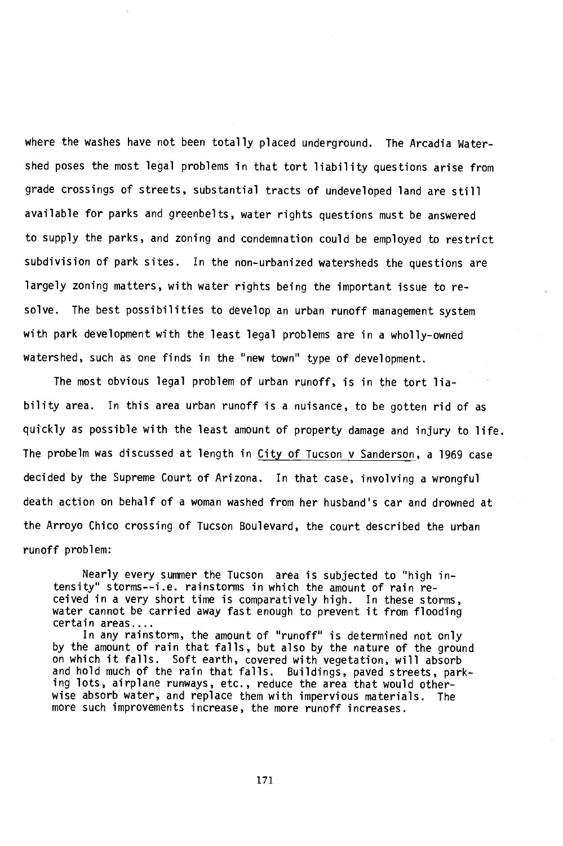where the washes have not been totally placed underground. The Arcadia Watershed poses the most legal problems in that tort liability questions arise from grade crossings of streets, substantial tracts of undeveloped land are still available for parks and greenbelts, water rights questions must be answered to supply the parks, and zoning and condemnation could be employed to restrict subdivision of park sites. In the non-urbanized watersheds the questions are largely zoning matters, with water rights being the important issue to resolve. The best possibilities to develop an urban runoff management system with park development with the least legal problems are in a wholly-owned watershed, such as one finds in the "new town" type of development.

The most obvious legal problem of urban runoff, is in the tort liability area. In this area urban runoff is a nuisance, to be gotten rid of as quîckly as possible with the least amount of property damage and injury to life. The probelm was discussed at length in City of Tucson v Sanderson, a 1969 case decided by the Supreme Court of Arizona. In that case, involving a wrongful death action on behalf of a woman washed from her husband's car and drowned at the Arroyo Chico crossing of Tucson Boulevard, the court described the urban runoff problem:

Nearly every summer the Tucson area is subjected to "high intensity" storms--i.e. rainstorms in which the amount of rain received in a very short time is comparatively high. In these storms, water cannot be carried away fast enough to prevent it from flooding certain areas....

In any rainstorm, the amount of "runoff" is determined not only by the amount of rain that falls, but also by the nature of the ground on which it falls. Soft earth, covered with vegetation, will absorb and hold much of the rain that falls. Buildings, paved streets, parking lots, airplane runways, etc., reduce the area that would otherwise absorb water, and replace them with impervious materials. The more such improvements increase, the more runoff increases.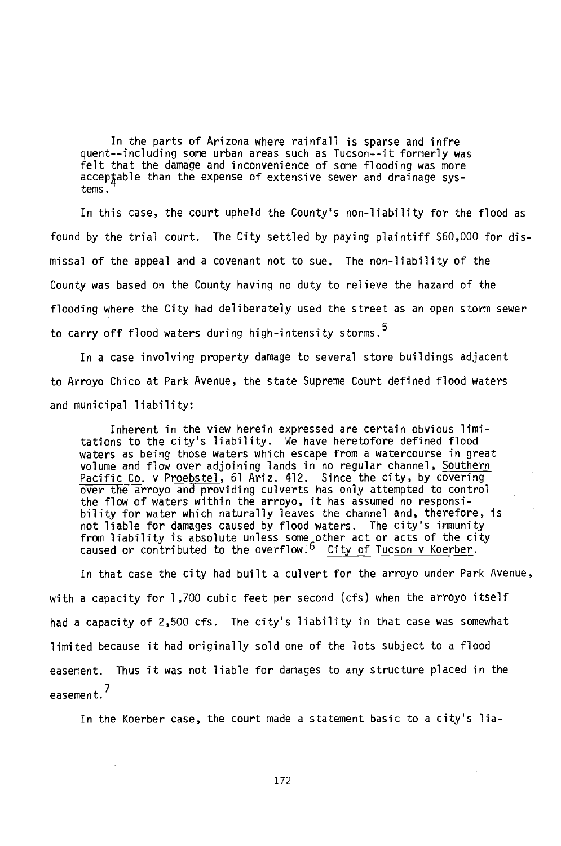In the parts of Arizona where rainfall is sparse and infre quent -- including some urban areas such as Tucson -- it formerly was felt that the damage and inconvenience of some flooding was more acceptable than the expense of extensive sewer and drainage systems.

In this case, the court upheld the County's non-liability for the flood as found by the trial court. The City settled by paying plaintiff \$60,000 for dismissal of the appeal and a covenant not to sue. The non-liability of the County was based on the County having no duty to relieve the hazard of the flooding where the City had deliberately used the street as an open storm sewer to carry off flood waters during high-intensity storms.<sup>5</sup>

In a case involving property damage to several store buildings adjacent to Arroyo Chico at Park Avenue, the state Supreme Court defined flood waters and municipal liability:

Inherent in the view herein expressed are certain obvious limitations to the city's liability. We have heretofore defined flood waters as being those waters which escape from a watercourse in great volume and flow over adjoining lands in no regular channel, Southern Pacific Co. v Proebstel, 61 Ariz. 412. Since the city, by covering over the arroyo and providing culverts has only attempted to control the flow of waters within the arroyo, it has assumed no responsibility for water which naturally leaves the channel and, therefore, is not liable for damages caused by flood waters. The city's immunity from liability is absolute unless some other act or acts of the city caused or contributed to the overflow.  $6$  City of Tucson v Koerber.

In that case the city had built a culvert for the arroyo under Park Avenue, with a capacity for 1,700 cubic feet per second (cfs) when the arroyo itself had a capacity of 2,500 cfs. The city's liability in that case was somewhat limited because it had originally sold one of the lots subject to a flood easement. Thus it was not liable for damages to any structure placed in the easement.7

In the Koerber case, the court made a statement basic to a city's lia-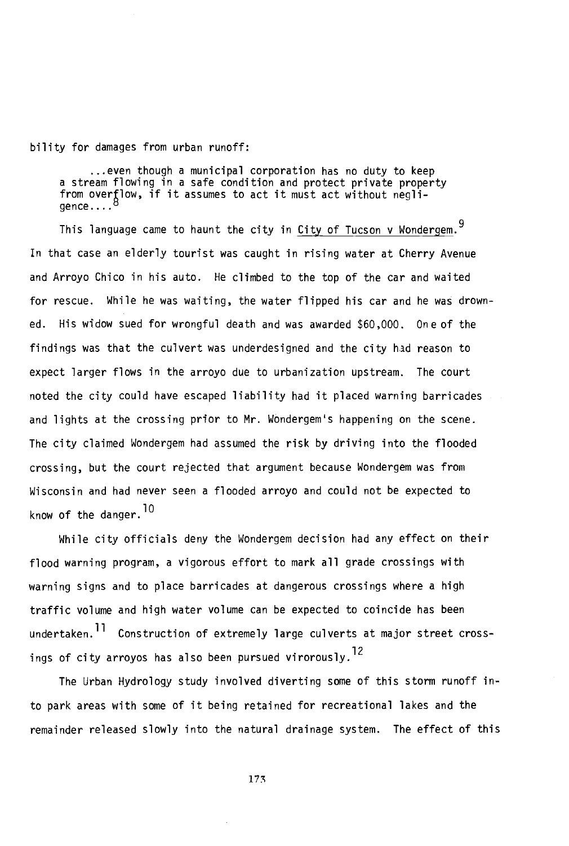bility for damages from urban runoff:

...even though a municipal corporation has no duty to keep a stream flowing in a safe condition and protect private property from overflow, if it assumes to act it must act without negliqence....<sup>t</sup>

This language came to haunt the city in City of Tucson v Wondergem.<sup>9</sup> In that case an elderly tourist was caught in rising water at Cherry Avenue and Arroyo Chico in his auto. He climbed to the top of the car and waited for rescue. While he was waiting, the water flipped his car and he was drowned. His widow sued for wrongful death and was awarded \$60,000. One of the findings was that the culvert was underdesigned and the city had reason to expect larger flows in the arroyo due to urbanization upstream. The court noted the city could have escaped liability had it placed warning barricades and lights at the crossing prior to Mr. Wondergem's happening on the scene. The city claimed Wondergem had assumed the risk by driving into the flooded crossing, but the court rejected that argument because Wondergem was from Wisconsin and had never seen a flooded arroyo and could not be expected to know of the danger.<sup>10</sup>

While city officials deny the Wondergem decision had any effect on their flood warning program, a vigorous effort to mark all grade crossings with warning signs and to place barricades at dangerous crossings where a high traffic volume and high water volume can be expected to coincide has been undertaken.11 Construction of extremely large culverts at major street crossings of city arroyos has also been pursued virorouslv.<sup>12</sup>

The Urban Hydrology study involved diverting some of this storm runoff into park areas with some of it being retained for recreational lakes and the remainder released slowly into the natural drainage system. The effect of this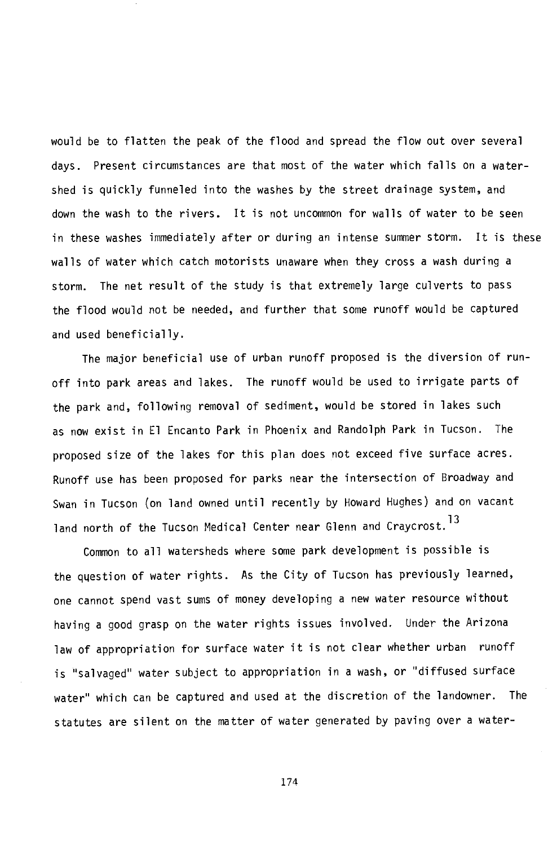would be to flatten the peak of the flood and spread the flow out over several days. Present circumstances are that most of the water which falls on a watershed is quickly funneled into the washes by the street drainage system, and down the wash to the rivers. It is not uncommon for walls of water to be seen in these washes immediately after or during an intense summer storm. It is these walls of water which catch motorists unaware when they cross a wash during a storm. The net result of the study is that extremely large culverts to pass the flood would not be needed, and further that some runoff would be captured and used beneficially.

The major beneficial use of urban runoff proposed is the diversion of runoff into park areas and lakes. The runoff would be used to irrigate parts of the park and, following removal of sediment, would be stored in lakes such as now exist in El Encanto Park in Phoenix and Randolph Park in Tucson. The proposed size of the lakes for this plan does not exceed five surface acres. Runoff use has been proposed for parks near the intersection of Broadway and Swan in Tucson (on land owned until recently by Howard Hughes) and on vacant land north of the Tucson Medical Center near Glenn and Cravcrost.<sup>13</sup>

Common to all watersheds where some park development is possible is the question of water rights. As the City of Tucson has previously learned, one cannot spend vast sums of money developing a new water resource without having a good grasp on the water rights issues involved. Under the Arizona law of appropriation for surface water it is not clear whether urban runoff is "salvaged" water subject to appropriation in a wash, or "diffused surface water" which can be captured and used at the discretion of the landowner. The statutes are silent on the matter of water generated by paving over a water-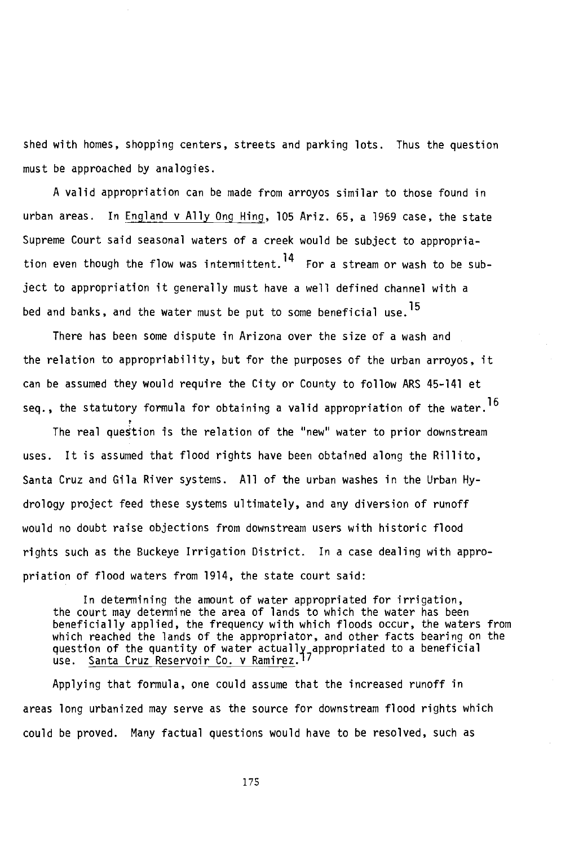shed with homes, shopping centers, streets and parking lots. Thus the question must be approached by analogies.

A valid appropriation can be made from arroyos similar to those found in urban areas. In England v Ally Ong Hing, 105 Ariz. 65, a 1969 case, the state Supreme Court said seasonal waters of a creek would be subject to appropriation even though the flow was intermittent.<sup>14</sup> For a stream or wash to be subject to appropriation it generally must have a well defined channel with a bed and banks, and the water must be put to some beneficial use,15

There has been some dispute in Arizona over the size of a wash and the relation to appropriability, but for the purposes of the urban arroyos, it can be assumed they would require the City or County to follow ARS 45-141 et seq., the statutory formula for obtaining a valid appropriation of the water.<sup>16</sup>

The real question is the relation of the "new" water to prior downstream uses. It is assumed that flood rights have been obtained along the Rillito, Santa Cruz and Gila River systems. All of the urban washes in the Urban Hydrology project feed these systems ultimately, and any diversion of runoff would no doubt raise objections from downstream users with historic flood rights such as the Buckeye Irrigation District. In a case dealing with appropriation of flood waters from 1914, the state court said:

In determining the amount of water appropriated for irrigation, the court may determine the area of lands to which the water has been beneficially applied, the frequency with which floods occur, the waters from which reached the lands of the appropriator, and other facts bearing on the question of the quantity of water actually appropriated to a beneficial use. Santa Cruz Reservoir Co. v Ramirez.17

Applying that formula, one could assume that the increased runoff in areas long urbanized may serve as the source for downstream flood rights which could be proved. Many factual questions would have to be resolved, such as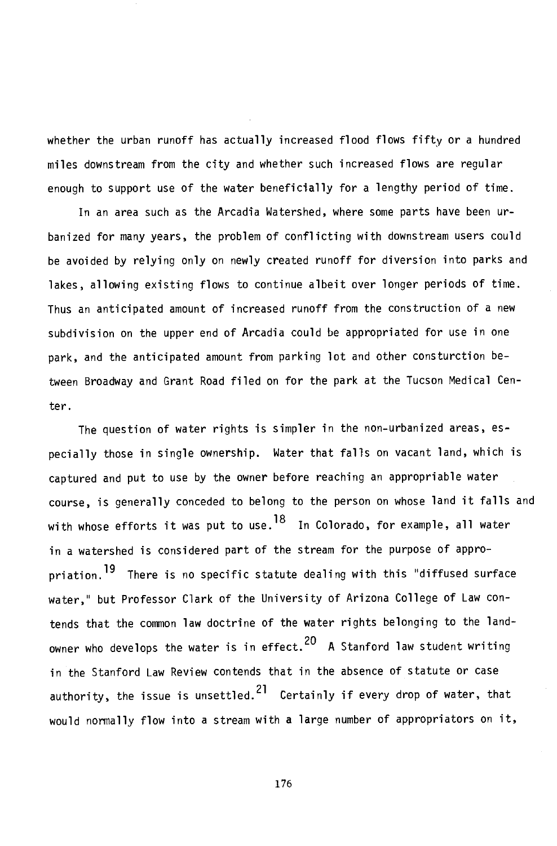whether the urban runoff has actually increased flood flows fifty or a hundred miles downstream from the city and whether such increased flows are regular enough to support use of the water beneficially for a lengthy period of time.

In an area such as the Arcadia Watershed, where some parts have been urbanized for many years, the problem of conflicting with downstream users could be avoided by relying only on newly created runoff for diversion into parks and lakes, allowing existing flows to continue albeit over longer periods of time. Thus an anticipated amount of increased runoff from the construction of a new subdivision on the upper end of Arcadia could be appropriated for use in one park, and the anticipated amount from parking lot and other consturction between Broadway and Grant Road filed on for the park at the Tucson Medical Center.

The question of water rights is simpler in the non-urbanized areas, especially those in single ownership. Water that falls on vacant land, which is captured and put to use by the owner before reaching an appropriable water course, is generally conceded to belong to the person on whose land it falls and with whose efforts it was put to use.  $^{18}$  In Colorado, for example, all water in a watershed is considered part of the stream for the purpose of appropriation.<sup>19</sup> There is no specific statute dealing with this "diffused surface water," but Professor Clark of the University of Arizona College of Law contends that the common law doctrine of the water rights belonging to the landowner who develops the water is in effect. $^{20}$  A Stanford law student writing in the Stanford Law Review contends that in the absence of statute or case authority, the issue is unsettled.<sup>21</sup> Certainly if every drop of water, that would normally flow into a stream with a large number of appropriators on it,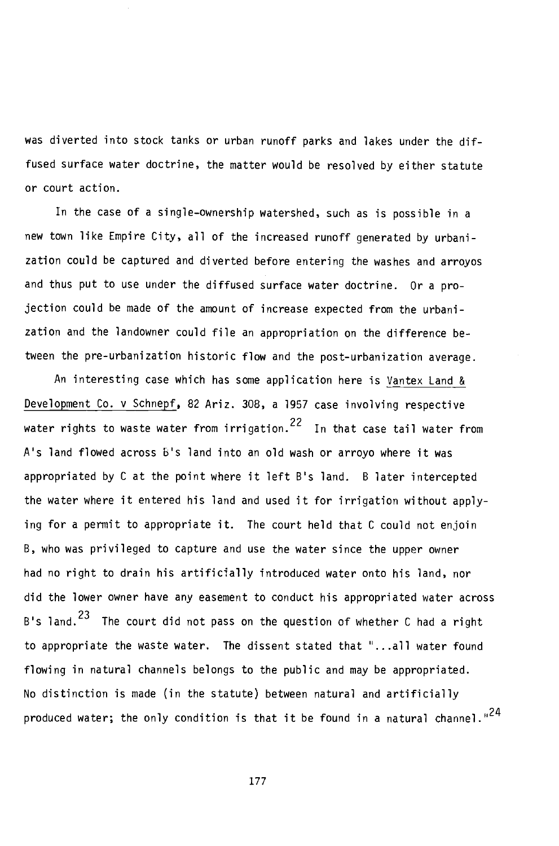was diverted into stock tanks or urban runoff parks and lakes under the diffused surface water doctrine, the matter would be resolved by either statute or court action.

In the case of a single -ownership watershed, such as is possible in a new town like Empire City, all of the increased runoff generated by urbanization could be captured and diverted before entering the washes and arroyos and thus put to use under the diffused surface water doctrine. Or a projection could be made of the amount of increase expected from the urbanization and the landowner could file an appropriation on the difference between the pre-urbanization historic flow and the post-urbanization average.

An interesting case which has some application here is Vantex Land & Development Co. v Schnepf, 82 Ariz. 308, a 1957 case involving respective water rights to waste water from irrigation. $^{22}$  In that case tail water from A's land flowed across b's land into an old wash or arroyo where it was appropriated by C at the point where it left B's land. B later intercepted the water where it entered his land and used it for irrigation without applying for a permit to appropriate it. The court held that C could not enjoin B, who was privileged to capture and use the water since the upper owner had no right to drain his artificially introduced water onto his land, nor did the lower owner have any easement to conduct his appropriated water across B's land.<sup>23</sup> The court did not pass on the question of whether C had a right to appropriate the waste water. The dissent stated that "...all water found flowing in natural channels belongs to the public and may be appropriated. No distinction is made (in the statute) between natural and artificially produced water; the only condition is that it be found in a natural channel."<sup>24</sup>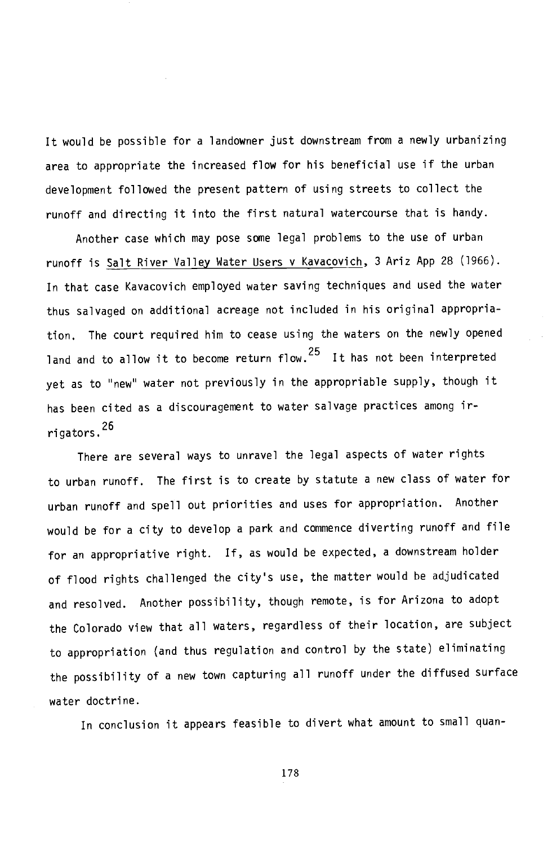It would be possible for a landowner just downstream from a newly urbanizing area to appropriate the increased flow for his beneficial use if the urban development followed the present pattern of using streets to collect the runoff and directing it into the first natural watercourse that is handy.

Another case which may pose some legal problems to the use of urban runoff is Salt River Valley Water Users v Kavacovich, 3 Ariz App 28 (1966). In that case Kavacovich employed water saving techniques and used the water thus salvaged on additional acreage not included in his original appropriation. The court required him to cease using the waters on the newly opened land and to allow it to become return flow.<sup>25</sup> It has not been interpreted yet as to "new" water not previously in the appropriable supply, though it has been cited as a discouragement to water salvage practices among irrigators.26

There are several ways to unravel the legal aspects of water rights to urban runoff. The first is to create by statute a new class of water for urban runoff and spell out priorities and uses for appropriation. Another would be for a city to develop a park and commence diverting runoff and file for an appropriative right. If, as would be expected, a downstream holder of flood rights challenged the city's use, the matter would be adjudicated and resolved. Another possibility, though remote, is for Arizona to adopt the Colorado view that all waters, regardless of their location, are subject to appropriation (and thus regulation and control by the state) eliminating the possibility of a new town capturing all runoff under the diffused surface water doctrine.

In conclusion it appears feasible to divert what amount to small quan-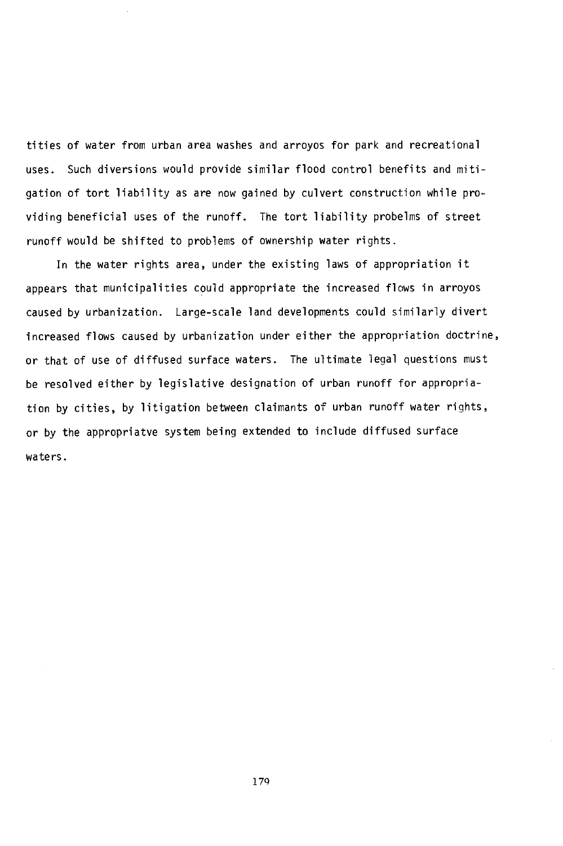tities of water from urban area washes and arroyos for park and recreational uses. Such diversions would provide similar flood control benefits and mitigation of tort liability as are now gained by culvert construction while providing beneficial uses of the runoff. The tort liability probelms of street runoff would be shifted to problems of ownership water rights.

In the water rights area, under the existing laws of appropriation it appears that municipalities could appropriate the increased flows in arroyos caused by urbanization. Large-scale land developments could similarly divert increased flows caused by urbanization under either the appropriation doctrine, or that of use of diffused surface waters. The ultimate legal questions must be resolved either by legislative designation of urban runoff for appropriation by cities, by litigation between claimants of urban runoff water rights, or by the appropriatve system being extended to include diffused surface waters.